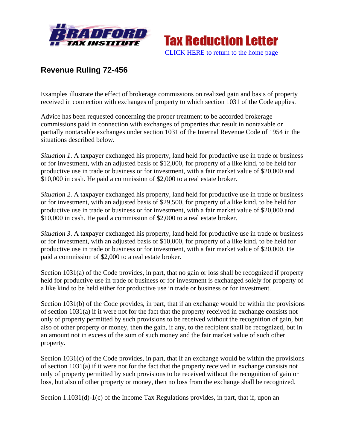



## **Revenue Ruling 72-456**

Examples illustrate the effect of brokerage commissions on realized gain and basis of property received in connection with exchanges of property to which section 1031 of the Code applies.

Advice has been requested concerning the proper treatment to be accorded brokerage commissions paid in connection with exchanges of properties that result in nontaxable or partially nontaxable exchanges under section 1031 of the Internal Revenue Code of 1954 in the situations described below.

*Situation 1*. A taxpayer exchanged his property, land held for productive use in trade or business or for investment, with an adjusted basis of \$12,000, for property of a like kind, to be held for productive use in trade or business or for investment, with a fair market value of \$20,000 and \$10,000 in cash. He paid a commission of \$2,000 to a real estate broker.

*Situation 2*. A taxpayer exchanged his property, land held for productive use in trade or business or for investment, with an adjusted basis of \$29,500, for property of a like kind, to be held for productive use in trade or business or for investment, with a fair market value of \$20,000 and \$10,000 in cash. He paid a commission of \$2,000 to a real estate broker.

*Situation 3*. A taxpayer exchanged his property, land held for productive use in trade or business or for investment, with an adjusted basis of \$10,000, for property of a like kind, to be held for productive use in trade or business or for investment, with a fair market value of \$20,000. He paid a commission of \$2,000 to a real estate broker.

Section 1031(a) of the Code provides, in part, that no gain or loss shall be recognized if property held for productive use in trade or business or for investment is exchanged solely for property of a like kind to be held either for productive use in trade or business or for investment.

Section 1031(b) of the Code provides, in part, that if an exchange would be within the provisions of section 1031(a) if it were not for the fact that the property received in exchange consists not only of property permitted by such provisions to be received without the recognition of gain, but also of other property or money, then the gain, if any, to the recipient shall be recognized, but in an amount not in excess of the sum of such money and the fair market value of such other property.

Section 1031(c) of the Code provides, in part, that if an exchange would be within the provisions of section 1031(a) if it were not for the fact that the property received in exchange consists not only of property permitted by such provisions to be received without the recognition of gain or loss, but also of other property or money, then no loss from the exchange shall be recognized.

Section 1.1031(d)-1(c) of the Income Tax Regulations provides, in part, that if, upon an